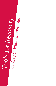# Tools for Recovery

Co-Dependents Anonymous "Tools for Recovery"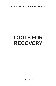**Co-DEPENDENTS ANONYMOUS**

# **TOOLS FOR RECOVERY**

April 2018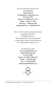For more information about CoDA: **www.coda.org info@coda.org Co-Dependents Anonymous, Inc. P.O. Box 33577 Phoenix, AZ 85067-3577, USA Phone: +1 602-277-7991 Toll Free: +1 888-444-2359 Spanish Toll Free: +1 888-444-2379**

This is CoDA Conference endorsed literature Copyright© 2005-2011 All Rights Reserved. This publication may not be reproduced or photocopied without written permission of Co-Dependents Anonymous, Inc.

> For additional copies: **www.corepublications.org CoRe Publications Inc. P.O. Box 1004 Denver, NC 28037-1004, USA Phone: +1 704-483-3038 Fax: +1 704-483-3088 info@corepublications.org**

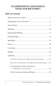### **CO-DEPENDENTS ANONYMOUS TOOLS FOR RECOVERY©**

### **Table of Contents**

| THE TWELVE STEPS OF CO-DEPENDENTS ANONYMOUS 21      |  |
|-----------------------------------------------------|--|
| THE TWELVE TRADITIONS OF CO-DEPENDENTS ANONYMOUS 22 |  |
| The Preamble & Twelve Promises of                   |  |
|                                                     |  |